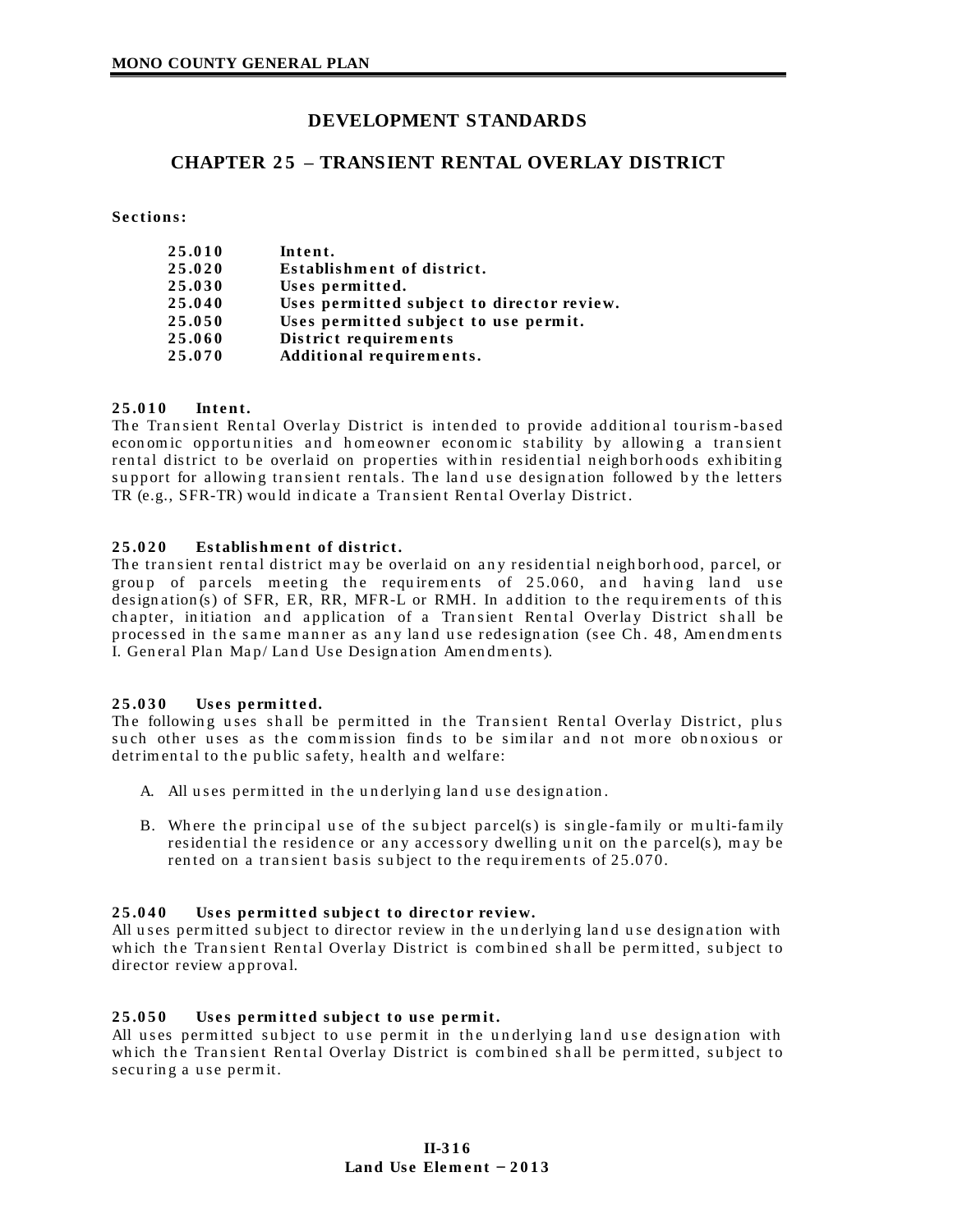# **DEVELOPMENT STANDARDS**

# **CHAPTER 2 5 – TRANSIENT RENTAL OVERLAY DISTRICT**

Sections:

| 25.010 | Intent.                                    |
|--------|--------------------------------------------|
| 25.020 | Establishment of district.                 |
| 25.030 | Uses permitted.                            |
| 25.040 | Uses permitted subject to director review. |
| 25.050 | Uses permitted subject to use permit.      |
| 25.060 | District requirements                      |
| 25.070 | Additional requirements.                   |

# **2 5 .0 1 0 Int e n t.**

The Transient Rental Overlay District is intended to provide additional tourism-based econ om ic opportunities and homeowner economic stability by allowing a transient rental district to be overlaid on properties within residential neighborhoods exhibiting support for allowing transient rentals. The land use designation followed by the letters TR (e.g., SFR-TR) would indicate a Transient Rental Overlay District.

# **2 5 .0 2 0 Es tablis h m e nt of dis tric t.**

The transient rental district may be overlaid on any residential neighborhood, parcel, or group of parcels meeting the requirements of 25.060, and having land use designation (s) of SFR, ER, RR, MFR-L or RMH. In addition to the requirements of this chapter, initiation and application of a Transient Rental Overlay District shall be processed in the same manner as any land use redesignation (see Ch. 48, Amendments I. General Plan Map/ Land Use Designation Amendments).

## **2 5 .0 3 0 Us e s pe rm itte d.**

The following uses shall be permitted in the Transient Rental Overlay District, plus such other uses as the commission finds to be similar and not more obnoxious or detrimental to the public safety, health and welfare:

- A. All uses permitted in the underlying land use designation.
- B. Where the principal use of the subject parcel(s) is single-family or multi-family residential the residence or any accessory dwelling unit on the parcel(s), may be rented on a transient basis subject to the requirements of 25.070.

## **25.040** Uses permitted subject to director review.

All uses permitted subject to director review in the underlying land use designation with which the Transient Rental Overlay District is combined shall be permitted, subject to director review approval.

## 25.050 Uses permitted subject to use permit.

All uses permitted subject to use permit in the underlying land use designation with which the Transient Rental Overlay District is combined shall be permitted, subject to securing a use permit.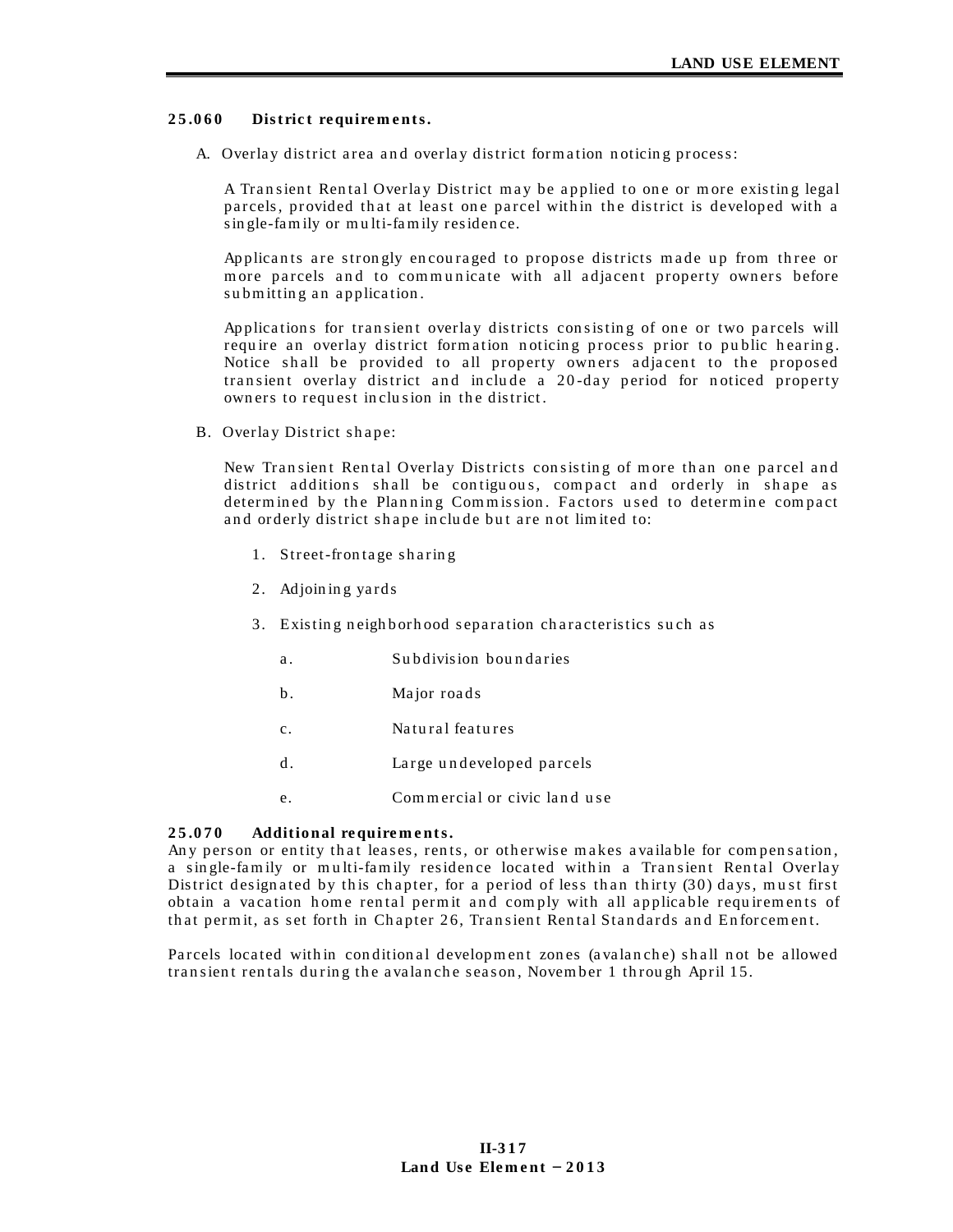#### 25.060 District requirements.

A. Overlay district area and overlay district formation noticing process:

A Transient Rental Overlay District may be applied to one or more existing legal parcels, provided that at least one parcel within the district is developed with a single-family or multi-family residence.

Applicants are strongly encouraged to propose districts made up from three or more parcels and to communicate with all adjacent property owners before submitting an application.

Applications for transient overlay districts consisting of one or two parcels will require an overlay district formation noticing process prior to public hearing. Notice shall be provided to all property owners adjacent to the proposed transient overlay district and include a 20-day period for noticed property owners to request inclusion in the district.

B. Overlay District shape:

New Transient Rental Overlay Districts consisting of more than one parcel and district additions shall be contiguous, compact and orderly in shape as determined by the Planning Commission. Factors used to determine compact and orderly district shape include but are not limited to:

- 1. Street-frontage sharing
- 2. Adjoining yards
- 3. Existing neighborhood separation characteristics such as
	- Subdivision boundaries  $a<sub>1</sub>$
	- $<sub>b</sub>$ .</sub> Major roads
	- Natural features  $\mathbf{c}$ .
	- $\mathbf{d}$ Large undeveloped parcels
	- Commercial or civic land use  $\mathsf{e}$

#### 25.070 Additional requirements.

Any person or entity that leases, rents, or otherwise makes available for compensation, a single-family or multi-family residence located within a Transient Rental Overlay District designated by this chapter, for a period of less than thirty (30) days, must first obtain a vacation home rental permit and comply with all applicable requirements of that permit, as set forth in Chapter 26, Transient Rental Standards and Enforcement.

Parcels located within conditional development zones (avalanche) shall not be allowed transient rentals during the avalanche season, November 1 through April 15.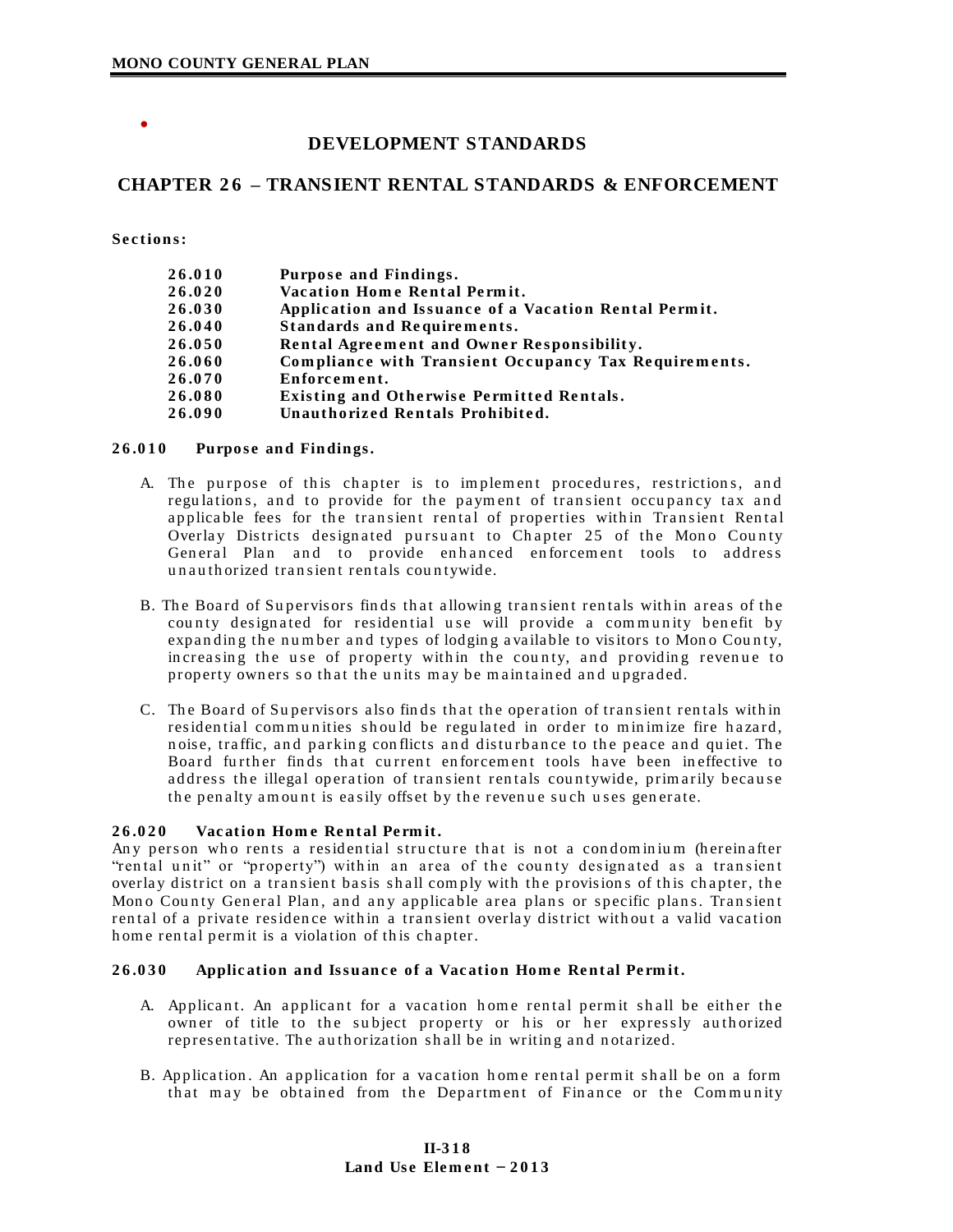$\bullet$ 

# DEVELOPMENT STANDARDS

# **CHAPTER 26 - TRANSIENT RENTAL STANDARDS & ENFORCEMENT**

Sections:

| 26.010 | Purpose and Findings.                                 |
|--------|-------------------------------------------------------|
| 26.020 | Vacation Home Rental Permit.                          |
| 26.030 | Application and Issuance of a Vacation Rental Permit. |
| 26.040 | <b>Standards and Requirements.</b>                    |
| 26.050 | Rental Agreement and Owner Responsibility.            |
| 26.060 | Compliance with Transient Occupancy Tax Requirements. |
| 26.070 | Enforcement.                                          |
| 26.080 | <b>Existing and Otherwise Permitted Rentals.</b>      |
| 26.090 | Unauthorized Rentals Prohibited.                      |

#### $26.010$ Purpose and Findings.

- A. The purpose of this chapter is to implement procedures, restrictions, and regulations, and to provide for the payment of transient occupancy tax and applicable fees for the transient rental of properties within Transient Rental Overlay Districts designated pursuant to Chapter 25 of the Mono County General Plan and to provide enhanced enforcement tools to address unauthorized transient rentals countywide.
- B. The Board of Supervisors finds that allowing transient rentals within areas of the county designated for residential use will provide a community benefit by expanding the number and types of lodging available to visitors to Mono County, increasing the use of property within the county, and providing revenue to property owners so that the units may be maintained and upgraded.
- C. The Board of Supervisors also finds that the operation of transient rentals within residential communities should be regulated in order to minimize fire hazard, noise, traffic, and parking conflicts and disturbance to the peace and quiet. The Board further finds that current enforcement tools have been ineffective to address the illegal operation of transient rentals countywide, primarily because the penalty amount is easily offset by the revenue such uses generate.

#### $26.020$ Vacation Home Rental Permit.

Any person who rents a residential structure that is not a condominium (hereinafter "rental unit" or "property") within an area of the county designated as a transient overlay district on a transient basis shall comply with the provisions of this chapter, the Mono County General Plan, and any applicable area plans or specific plans. Transient rental of a private residence within a transient overlay district without a valid vacation home rental permit is a violation of this chapter.

#### 26.030 Application and Issuance of a Vacation Home Rental Permit.

- A. Applicant. An applicant for a vacation home rental permit shall be either the owner of title to the subject property or his or her expressly authorized representative. The authorization shall be in writing and notarized.
- B. Application. An application for a vacation home rental permit shall be on a form that may be obtained from the Department of Finance or the Community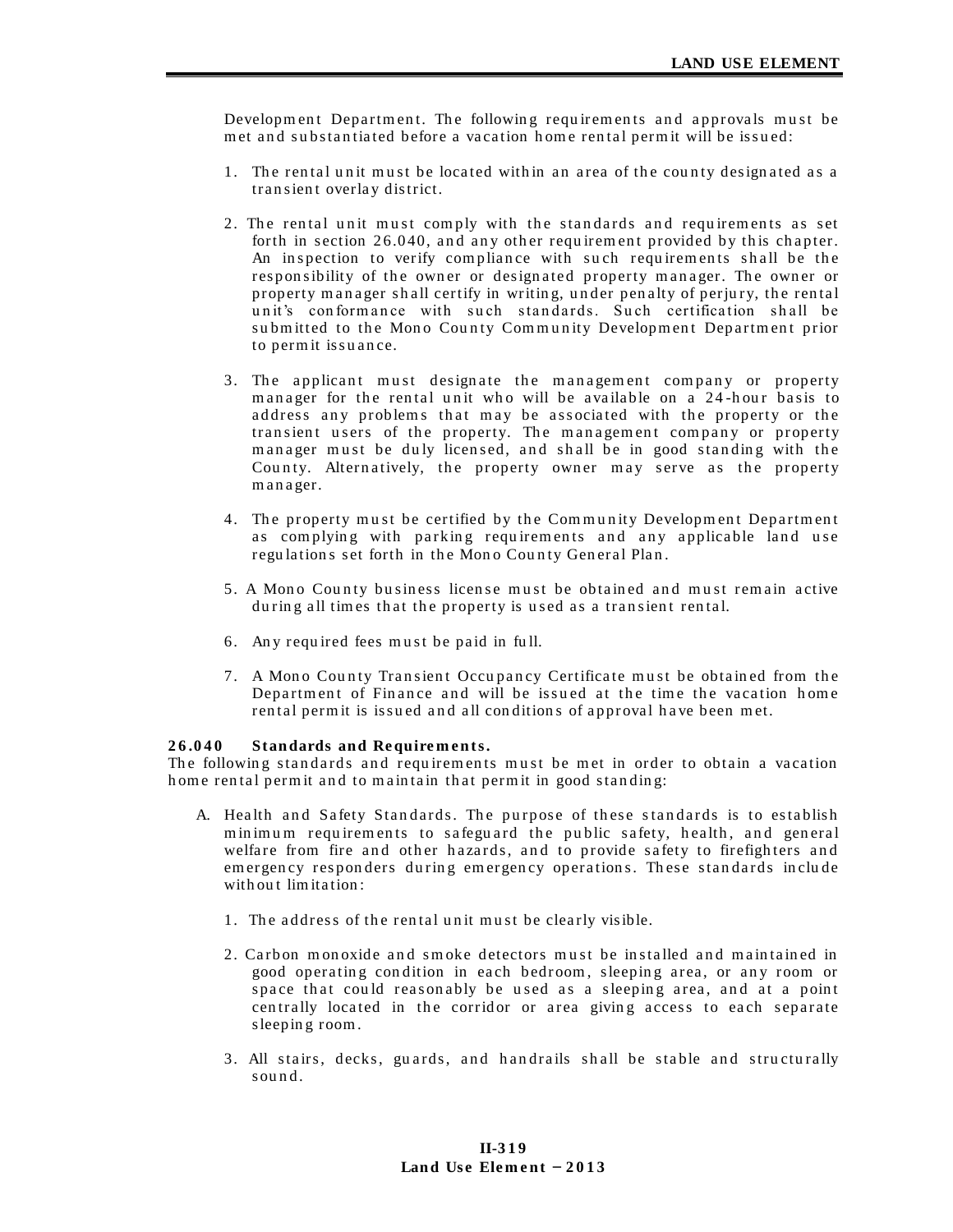Development Department. The following requirements and approvals must be met and substantiated before a vacation home rental permit will be issued:

- 1. The rental unit must be located within an area of the county designated as a transient overlay district.
- 2. The rental unit must comply with the standards and requirements as set forth in section 26.040, and any other requirement provided by this chapter. An inspection to verify compliance with such requirements shall be the responsibility of the owner or designated property manager. The owner or property manager shall certify in writing, under penalty of perjury, the rental unit's conformance with such standards. Such certification shall be submitted to the Mono County Community Development Department prior to permit is suance.
- 3. The applicant must designate the management company or property manager for the rental unit who will be available on a 24-hour basis to address any problems that may be associated with the property or the transient users of the property. The management company or property manager must be duly licensed, and shall be in good standing with the County. Alternatively, the property owner may serve as the property manager.
- 4. The property must be certified by the Community Development Department as complying with parking requirements and any applicable land use regulations set forth in the Mono County General Plan.
- 5. A Mono County business license must be obtained and must remain active during all times that the property is used as a transient rental.
- 6. Any required fees must be paid in full.
- 7. A Mono County Transient Occupancy Certificate must be obtained from the Department of Finance and will be issued at the time the vacation home rental permit is issued and all conditions of approval have been met.

#### 26.040 **Standards and Requirements.**

The following standards and requirements must be met in order to obtain a vacation home rental permit and to maintain that permit in good standing:

- A. Health and Safety Standards. The purpose of these standards is to establish minimum requirements to safeguard the public safety, health, and general welfare from fire and other hazards, and to provide safety to firefighters and emergency responders during emergency operations. These standards include without limitation:
	- 1. The address of the rental unit must be clearly visible.
	- 2. Carbon monoxide and smoke detectors must be installed and maintained in good operating condition in each bedroom, sleeping area, or any room or space that could reasonably be used as a sleeping area, and at a point centrally located in the corridor or area giving access to each separate sleeping room.
	- 3. All stairs, decks, guards, and handrails shall be stable and structurally sound.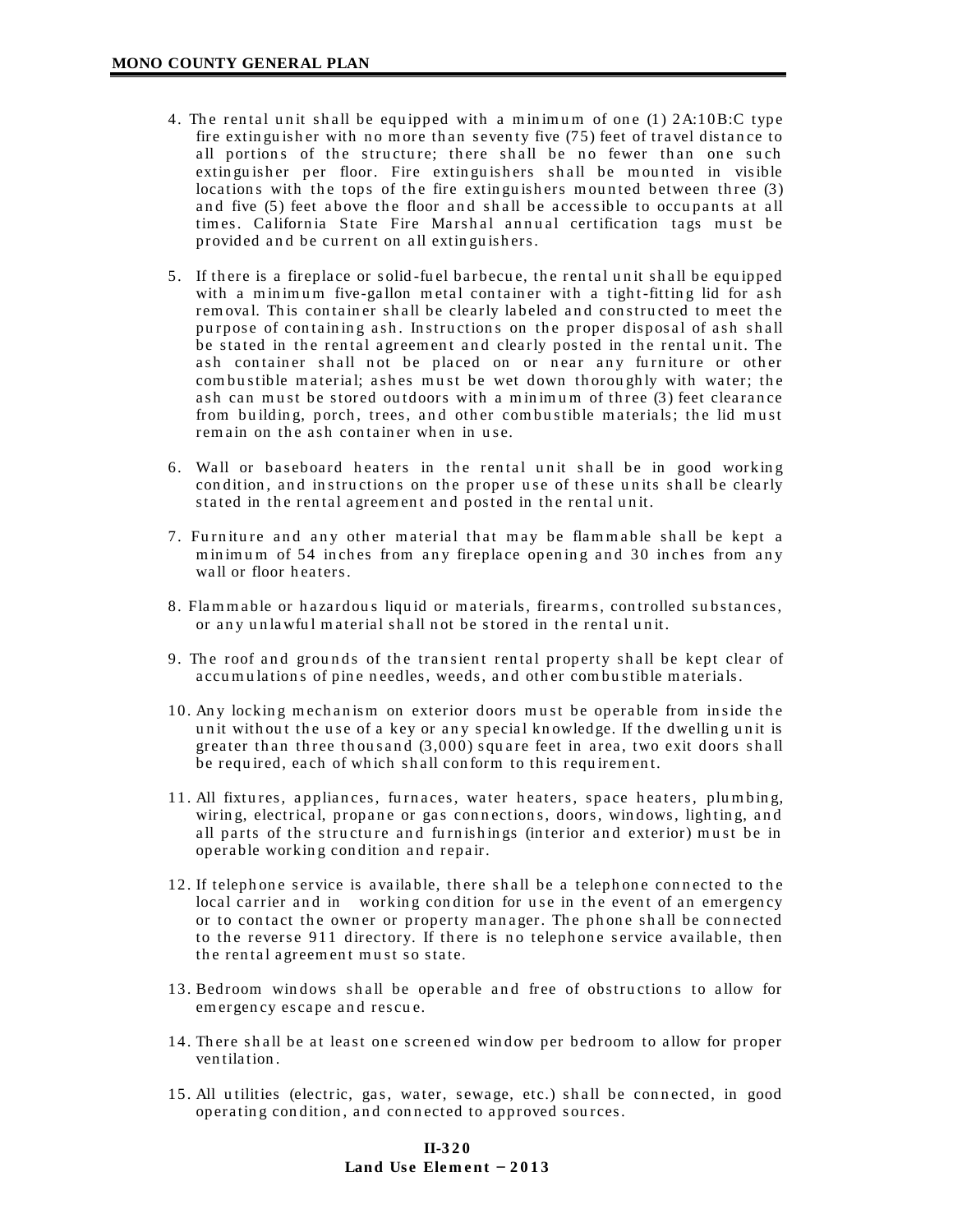- 4. The rental unit shall be equipped with a minimum of one  $(1)$   $2A:10B:C$  type fire extinguisher with no more than seventy five  $(75)$  feet of travel distance to all portions of the structure; there shall be no fewer than one such extinguisher per floor. Fire extinguishers shall be mounted in visible locations with the tops of the fire extinguishers mounted between three  $(3)$ and five (5) feet above the floor and shall be accessible to occupants at all times. California State Fire Marshal annual certification tags must be provided and be current on all extinguishers.
- 5. If there is a fireplace or solid-fuel barbecue, the rental unit shall be equipped with a minimum five-gallon metal container with a tight-fitting lid for ash rem oval. This container shall be clearly labeled and constructed to meet the purpose of containing ash. Instructions on the proper disposal of ash shall be stated in the rental agreement and clearly posted in the rental unit. The ash container shall not be placed on or near any furniture or other com bustible material; ashes must be wet down thoroughly with water; the ash can must be stored outdoors with a minimum of three  $(3)$  feet clearance from building, porch, trees, and other combustible materials; the lid must remain on the ash container when in use.
- 6. Wall or baseboard heaters in the rental unit shall be in good working condition, and instructions on the proper use of these units shall be clearly stated in the rental agreement and posted in the rental unit.
- 7. Furniture and any other material that may be flammable shall be kept a minimum of 54 inches from any fireplace opening and 30 inches from any wall or floor heaters.
- 8. Flammable or hazardous liquid or materials, firearms, controlled substances, or any unlawful material shall not be stored in the rental unit.
- 9. The roof and grounds of the transient rental property shall be kept clear of accumulations of pine needles, weeds, and other combustible materials.
- 10. Any locking mechanism on exterior doors must be operable from inside the unit with out the use of a key or any special knowledge. If the dwelling unit is greater than three thousand  $(3,000)$  square feet in area, two exit doors shall be required, each of which shall conform to this requirement.
- 11. All fixtures, appliances, furnaces, water heaters, space heaters, plumbing, wiring, electrical, propane or gas connections, doors, windows, lighting, and all parts of the structure and furnishings (interior and exterior) must be in operable working condition and repair.
- 12. If telephone service is available, there shall be a telephone connected to the local carrier and in working condition for use in the event of an emergency or to contact the owner or property manager. The phone shall be connected to the reverse 911 directory. If there is no telephone service available, then the rental agreement must so state.
- 13. Bedroom windows shall be operable and free of obstructions to allow for em ergency escape and rescue.
- 14. There shall be at least one screened window per bedroom to allow for proper ven tila tion .
- 15. All utilities (electric, gas, water, sewage, etc.) shall be connected, in good operating condition, and connected to approved sources.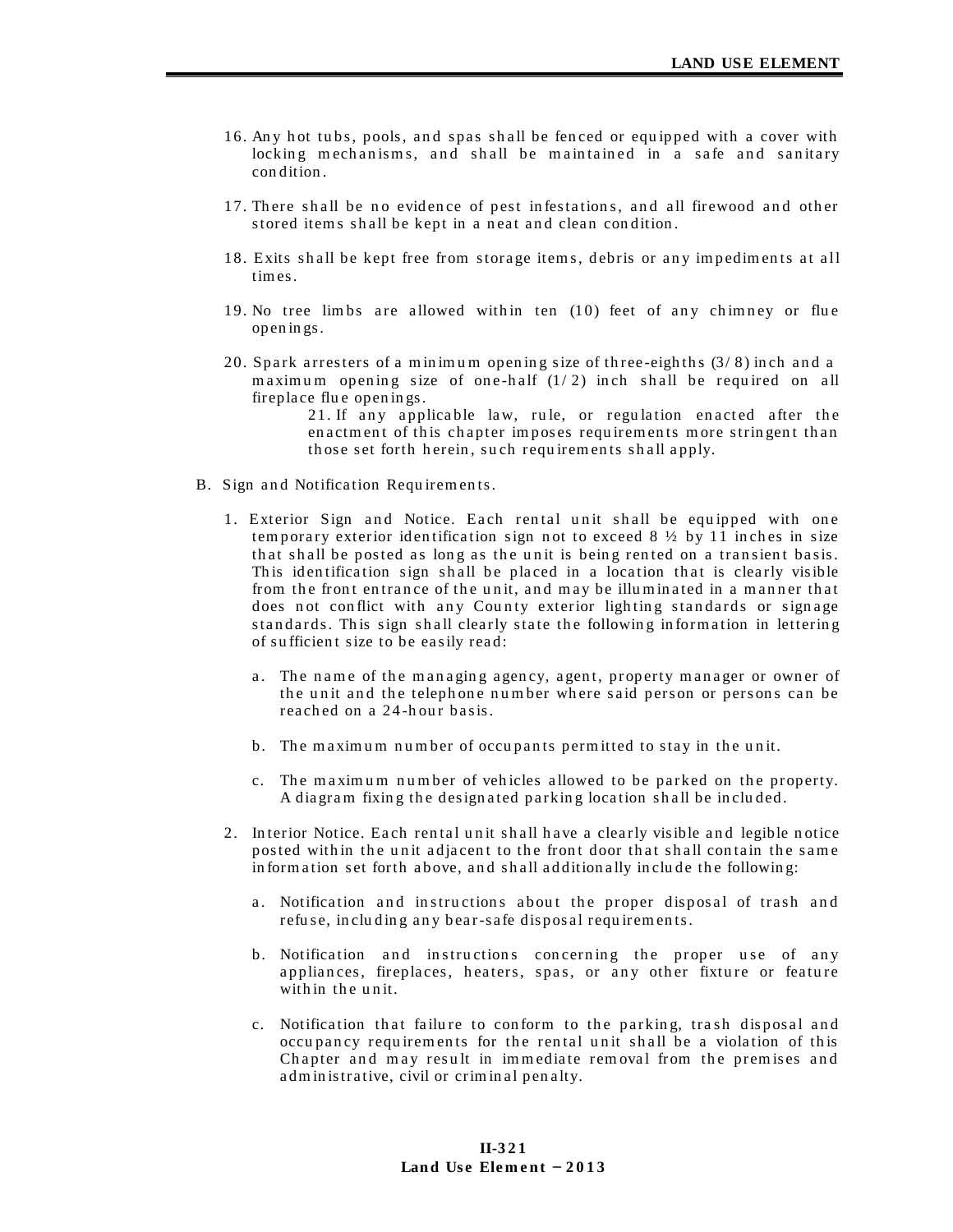- 16. Any hot tubs, pools, and spas shall be fenced or equipped with a cover with locking mechanisms, and shall be maintained in a safe and sanitary condition.
- 17. There shall be no evidence of pest infestations, and all firewood and other stored items shall be kept in a neat and clean condition.
- 18. Exits shall be kept free from storage items, debris or any impediments at all times.
- 19. No tree limbs are allowed within ten (10) feet of any chimney or flue openings.
- 20. Spark arresters of a minimum opening size of three-eighths  $(3/8)$  inch and a maximum opening size of one-half  $(1/2)$  inch shall be required on all fireplace flue openings.

21. If any applicable law, rule, or regulation enacted after the enactment of this chapter imposes requirements more stringent than those set forth herein, such requirements shall apply.

- B. Sign and Notification Requirements.
	- 1. Exterior Sign and Notice. Each rental unit shall be equipped with one temporary exterior identification sign not to exceed  $8\frac{1}{2}$  by 11 inches in size that shall be posted as long as the unit is being rented on a transient basis. This identification sign shall be placed in a location that is clearly visible from the front entrance of the unit, and may be illuminated in a manner that does not conflict with any County exterior lighting standards or signage standards. This sign shall clearly state the following information in lettering of sufficient size to be easily read:
		- a. The name of the managing agency, agent, property manager or owner of the unit and the telephone number where said person or persons can be reached on a 24-hour basis.
		- b. The maximum number of occupants permitted to stay in the unit.
		- c. The maximum number of vehicles allowed to be parked on the property. A diagram fixing the designated parking location shall be included.
	- 2. Interior Notice. Each rental unit shall have a clearly visible and legible notice posted within the unit adjacent to the front door that shall contain the same information set forth above, and shall additionally include the following:
		- a. Notification and instructions about the proper disposal of trash and refuse, including any bear-safe disposal requirements.
		- b. Notification and instructions concerning the proper use of any appliances, fireplaces, heaters, spas, or any other fixture or feature within the unit.
		- c. Notification that failure to conform to the parking, trash disposal and occupancy requirements for the rental unit shall be a violation of this Chapter and may result in immediate removal from the premises and administrative, civil or criminal penalty.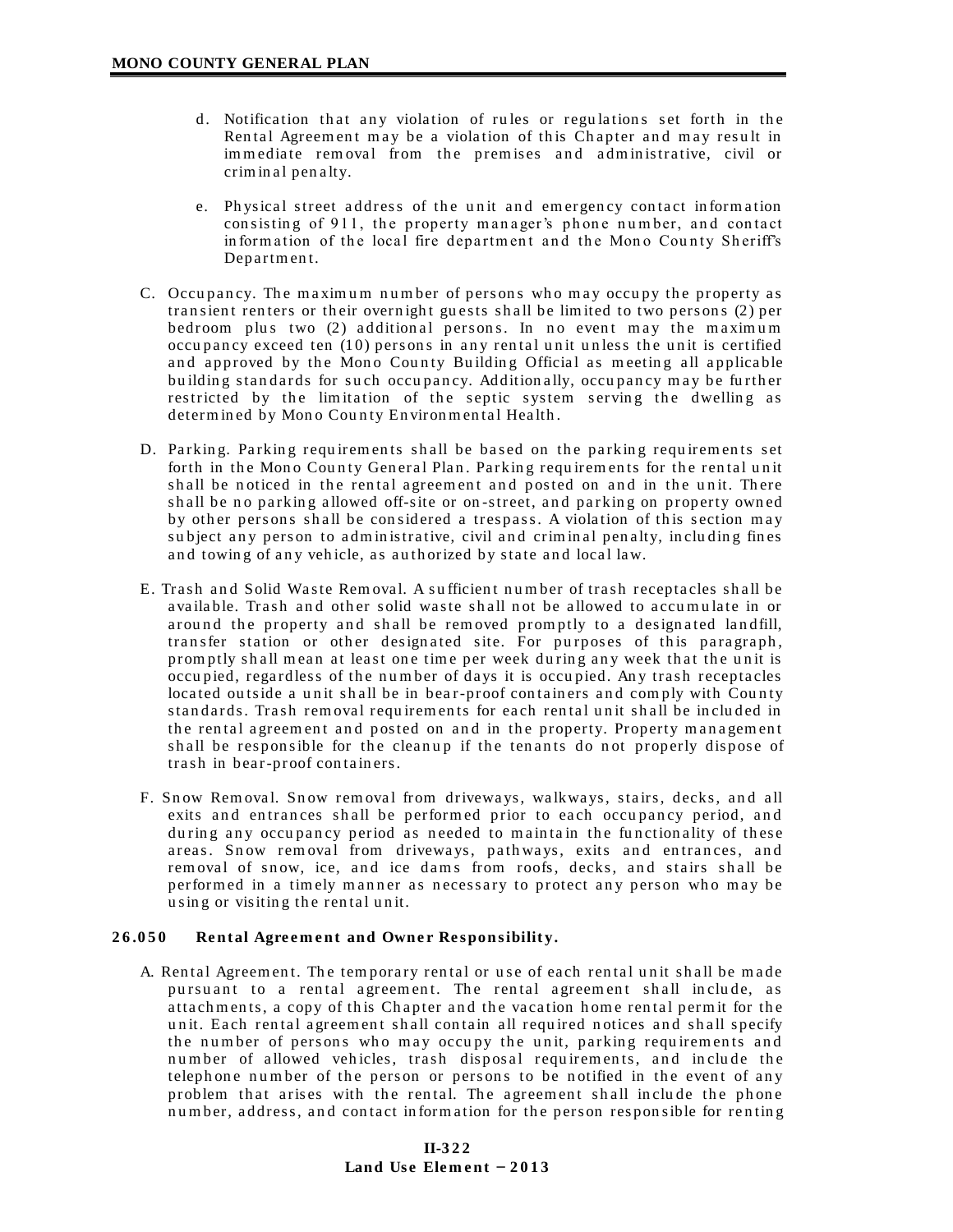- d. Notification that any violation of rules or regulations set forth in the Rental Agreement may be a violation of this Chapter and may result in immediate removal from the premises and administrative, civil or crim in al pen alty.
- e. Physical street address of the unit and emergency contact information consisting of 911, the property manager's phone number, and contact in form ation of the local fire department and the Mono County Sheriff's Department.
- C. Occupancy. The maximum number of persons who may occupy the property as tran sient renters or their overnight guests shall be limited to two persons (2) per bedroom plus two (2) additional persons. In no event may the maximum occupancy exceed ten  $(10)$  persons in any rental unit unless the unit is certified and approved by the Mono County Building Official as meeting all applicable building standards for such occupancy. Additionally, occupancy may be further restricted by the limitation of the septic system serving the dwelling as determined by Mono County Environmental Health.
- D. Parking. Parking requirements shall be based on the parking requirements set forth in the Mono County General Plan. Parking requirements for the rental unit shall be noticed in the rental agreement and posted on and in the unit. There shall be no parking allowed off-site or on-street, and parking on property owned by other persons shall be considered a trespass. A violation of this section may subject any person to administrative, civil and criminal penalty, including fines and towing of any vehicle, as authorized by state and local law.
- E. Trash and Solid Waste Removal. A sufficient number of trash receptacles shall be available. Trash and other solid waste shall not be allowed to accumulate in or around the property and shall be removed promptly to a designated landfill, transfer station or other designated site. For purposes of this paragraph, prom ptly shall mean at least one time per week during any week that the unit is occu pied, regardless of the number of days it is occupied. Any trash receptacles located outside a unit shall be in bear-proof containers and comply with County standards. Trash removal requirements for each rental unit shall be included in the rental agreement and posted on and in the property. Property management shall be responsible for the cleanup if the tenants do not properly dispose of trash in bear-proof containers.
- F. Snow Removal. Snow removal from driveways, walkways, stairs, decks, and all exits and entrances shall be performed prior to each occupancy period, and during any occupancy period as needed to maintain the functionality of these areas. Snow removal from driveways, pathways, exits and entrances, and rem oval of snow, ice, and ice dams from roofs, decks, and stairs shall be performed in a timely manner as necessary to protect any person who may be using or visiting the rental unit.

# 26.050 Rental Agreement and Owner Responsibility.

A. Rental Agreement. The temporary rental or use of each rental unit shall be made pursuant to a rental agreement. The rental agreement shall include, as atta ch m ents, a copy of this Chapter and the vacation home rental permit for the unit. Each rental agreement shall contain all required notices and shall specify the number of persons who may occupy the unit, parking requirements and number of allowed vehicles, trash disposal requirements, and include the teleph one number of the person or persons to be notified in the event of any problem that arises with the rental. The agreement shall include the phone number, address, and contact information for the person responsible for renting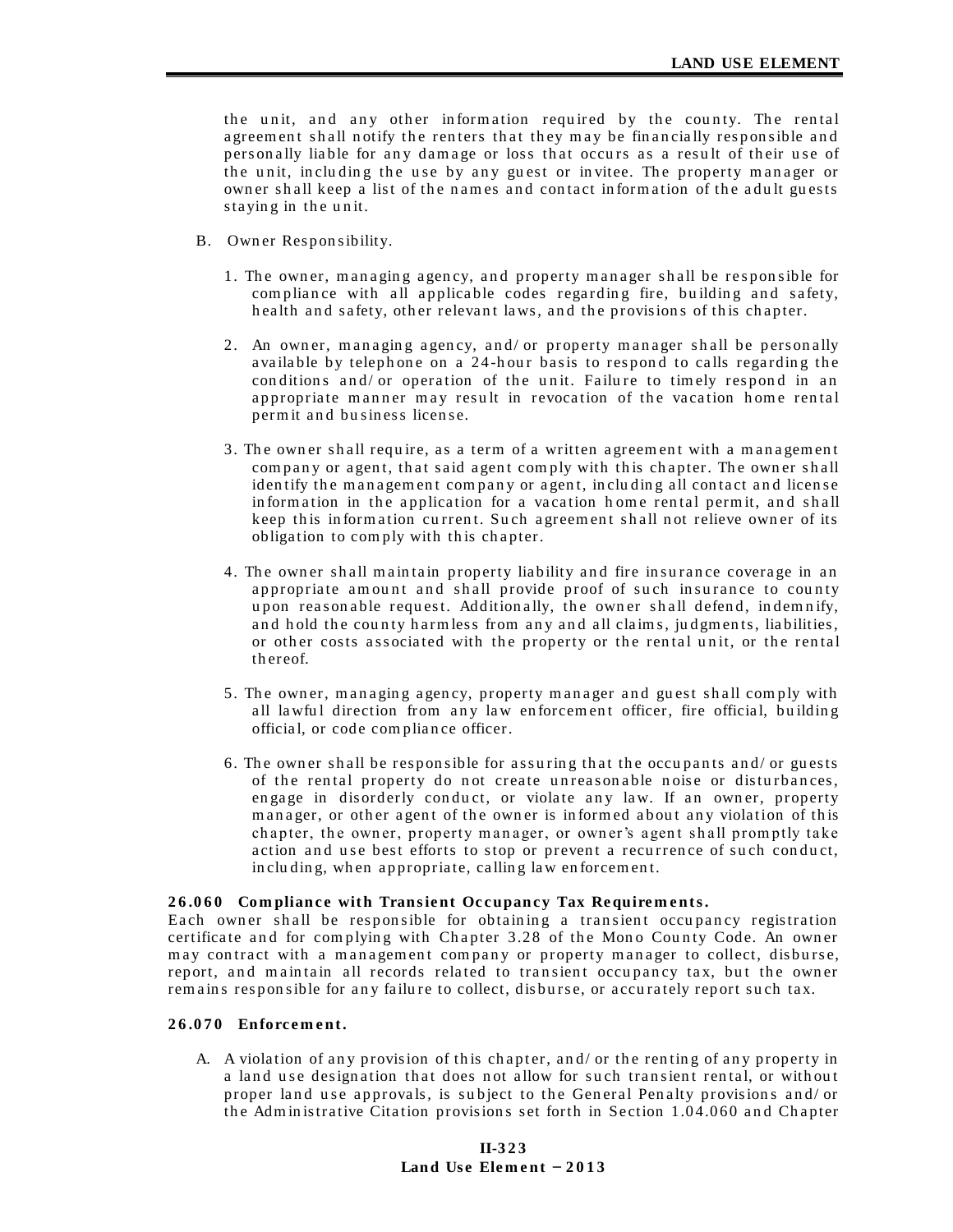the unit, and any other information required by the county. The rental agreement shall notify the renters that they may be financially responsible and personally liable for any damage or loss that occurs as a result of their use of the unit, including the use by any guest or invitee. The property manager or owner shall keep a list of the names and contact information of the adult guests staying in the unit.

- B. Own er Responsibility.
	- 1. The owner, managing agency, and property manager shall be responsible for compliance with all applicable codes regarding fire, building and safety, health and safety, other relevant laws, and the provisions of this chapter.
	- 2. An owner, managing agency, and/ or property manager shall be personally available by telephone on a 24-hour basis to respond to calls regarding the conditions and/ or operation of the unit. Failure to timely respond in an appropriate manner may result in revocation of the vacation home rental permit and business license.
	- 3. The owner shall require, as a term of a written agreement with a management company or agent, that said agent comply with this chapter. The owner shall identify the management company or agent, including all contact and license information in the application for a vacation home rental permit, and shall keep this information current. Such agreement shall not relieve owner of its obligation to comply with this chapter.
	- 4. The owner shall maintain property liability and fire insurance coverage in an appropriate amount and shall provide proof of such insurance to county upon reasonable request. Additionally, the owner shall defend, indemnify, and hold the county harmless from any and all claims, judgments, liabilities, or other costs associated with the property or the rental unit, or the rental th ereof.
	- 5. The owner, managing agency, property manager and guest shall comply with all lawful direction from any law enforcement officer, fire official, building official, or code compliance officer.
	- 6. The owner shall be responsible for assuring that the occupants and/ or guests of the rental property do not create unreasonable noise or disturbances, engage in disorderly conduct, or violate any law. If an owner, property manager, or other agent of the owner is informed about any violation of this chapter, the owner, property manager, or owner's agent shall promptly take action and use best efforts to stop or prevent a recurrence of such conduct, in clu ding, when appropriate, calling law enforcement.

## **26.060** Compliance with Transient Occupancy Tax Requirements.

Each owner shall be responsible for obtaining a transient occupancy registration certificate and for complying with Chapter 3.28 of the Mono County Code. An owner may contract with a management company or property manager to collect, disburse, report, and maintain all records related to transient occupancy tax, but the owner remains responsible for any failure to collect, disburse, or accurately report such tax.

## **2 6 .0 7 0 Enforc e m e n t.**

A. A violation of any provision of this chapter, and/ or the renting of any property in a land use designation that does not allow for such transient rental, or without proper land use approvals, is subject to the General Penalty provisions and/ or the Administrative Citation provisions set forth in Section 1.04.060 and Chapter

# **II-323 Land Use Element**  $-2013$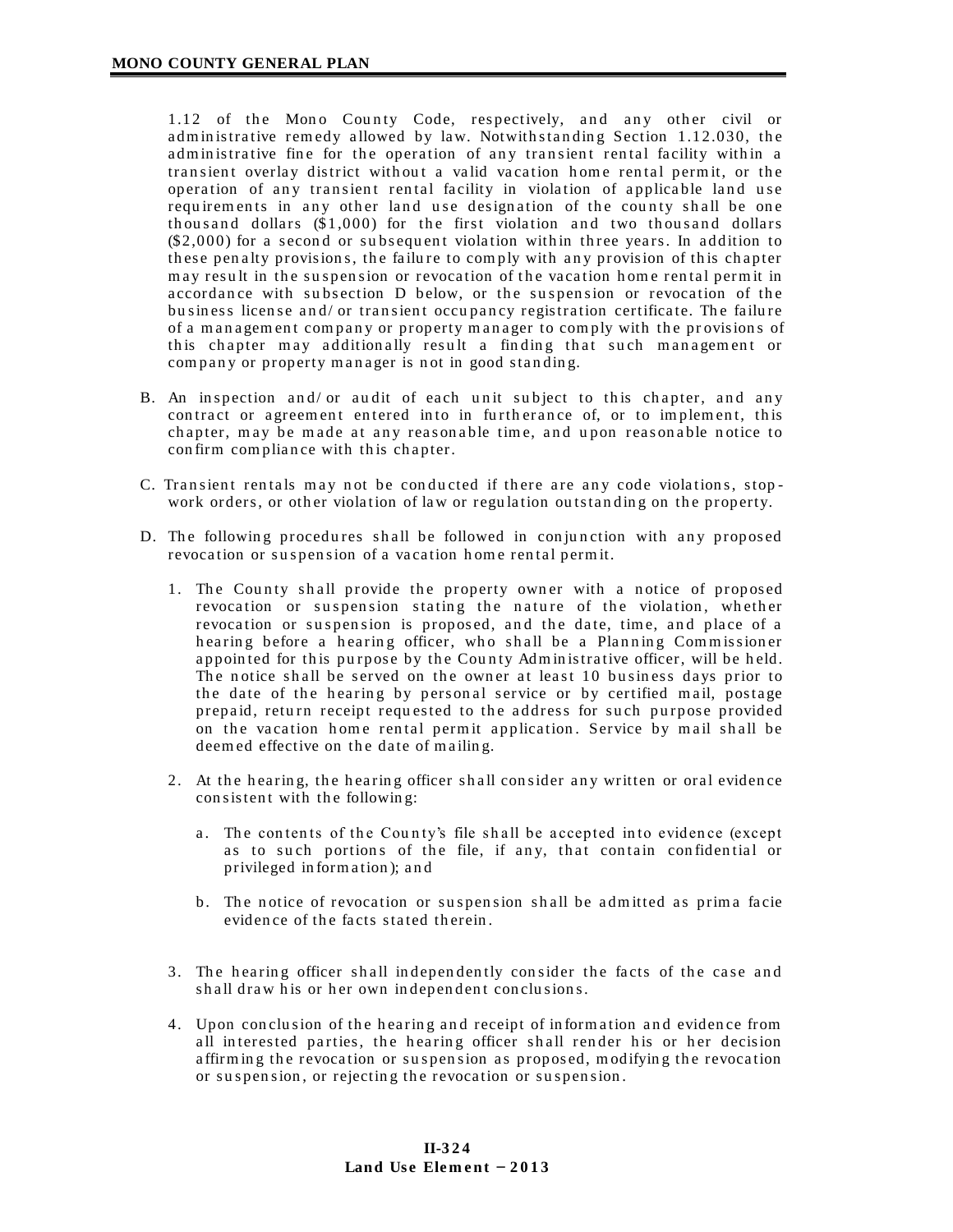1.12 of the Mono County Code, respectively, and any other civil or administrative remedy allowed by law. Notwith standing Section 1.12.030, the administrative fine for the operation of any transient rental facility within a transient overlay district without a valid vacation home rental permit, or the operation of any transient rental facility in violation of applicable land use requirements in any other land use designation of the county shall be one th ou s and dollars  $(\$1,000)$  for the first violation and two thousand dollars  $(\$2,000)$  for a second or subsequent violation within three years. In addition to these penalty provisions, the failure to comply with any provision of this chapter may result in the suspension or revocation of the vacation home rental permit in accordance with subsection D below, or the suspension or revocation of the bu siness license and/ or transient occupancy registration certificate. The failure of a management company or property manager to comply with the provisions of this chapter may additionally result a finding that such management or company or property manager is not in good standing.

- B. An inspection and/ or audit of each unit subject to this chapter, and any contract or agreement entered into in furtherance of, or to implement, this chapter, may be made at any reasonable time, and upon reasonable notice to con firm compliance with this chapter.
- C. Transient rentals may not be conducted if there are any code violations, stopwork orders, or other violation of law or regulation outstanding on the property.
- D. The following procedures shall be followed in conjunction with any proposed revocation or suspension of a vacation home rental permit.
	- 1. The County shall provide the property owner with a notice of proposed revocation or suspension stating the nature of the violation, whether revocation or suspension is proposed, and the date, time, and place of a hearing before a hearing officer, who shall be a Planning Commissioner appointed for this purpose by the County Administrative officer, will be held. The notice shall be served on the owner at least 10 business days prior to the date of the hearing by personal service or by certified mail, postage prepaid, return receipt requested to the address for such purpose provided on the vacation home rental permit application. Service by mail shall be deemed effective on the date of mailing.
	- 2. At the hearing, the hearing officer shall consider any written or oral evidence consistent with the following:
		- a. The contents of the County's file shall be accepted into evidence (except as to such portions of the file, if any, that contain confidential or privileged in form a tion ); a n d
		- b. The notice of revocation or suspension shall be admitted as prima facie evidence of the facts stated therein.
	- 3. The hearing officer shall independently consider the facts of the case and shall draw his or her own independent conclusions.
	- 4. Upon conclusion of the hearing and receipt of information and evidence from all interested parties, the hearing officer shall render his or her decision affirming the revocation or suspension as proposed, modifying the revocation or suspension, or rejecting the revocation or suspension.